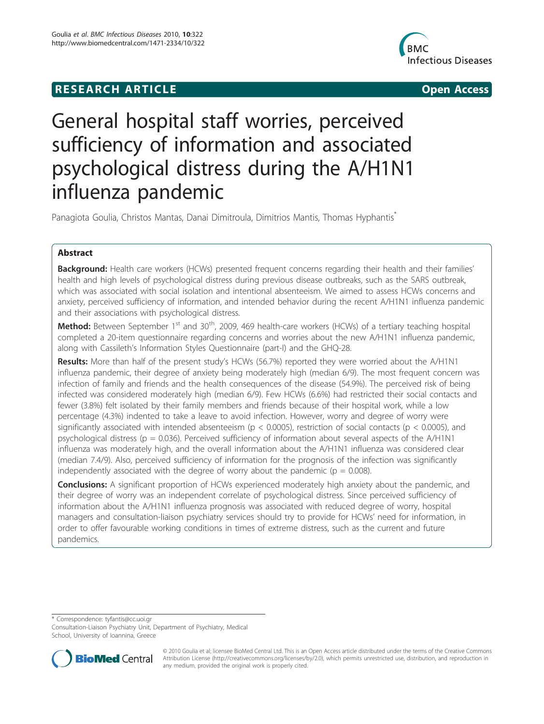## **RESEARCH ARTICLE CONSUMING ACCESS**



# General hospital staff worries, perceived sufficiency of information and associated psychological distress during the A/H1N1 influenza pandemic

Panagiota Goulia, Christos Mantas, Danai Dimitroula, Dimitrios Mantis, Thomas Hyphantis<sup>\*</sup>

## Abstract

Background: Health care workers (HCWs) presented frequent concerns regarding their health and their families' health and high levels of psychological distress during previous disease outbreaks, such as the SARS outbreak, which was associated with social isolation and intentional absenteeism. We aimed to assess HCWs concerns and anxiety, perceived sufficiency of information, and intended behavior during the recent A/H1N1 influenza pandemic and their associations with psychological distress.

**Method:** Between September 1<sup>st</sup> and 30<sup>th</sup>, 2009, 469 health-care workers (HCWs) of a tertiary teaching hospital completed a 20-item questionnaire regarding concerns and worries about the new A/H1N1 influenza pandemic, along with Cassileth's Information Styles Questionnaire (part-I) and the GHQ-28.

Results: More than half of the present study's HCWs (56.7%) reported they were worried about the A/H1N1 influenza pandemic, their degree of anxiety being moderately high (median 6/9). The most frequent concern was infection of family and friends and the health consequences of the disease (54.9%). The perceived risk of being infected was considered moderately high (median 6/9). Few HCWs (6.6%) had restricted their social contacts and fewer (3.8%) felt isolated by their family members and friends because of their hospital work, while a low percentage (4.3%) indented to take a leave to avoid infection. However, worry and degree of worry were significantly associated with intended absenteeism ( $p < 0.0005$ ), restriction of social contacts ( $p < 0.0005$ ), and psychological distress ( $p = 0.036$ ). Perceived sufficiency of information about several aspects of the A/H1N1 influenza was moderately high, and the overall information about the A/H1N1 influenza was considered clear (median 7.4/9). Also, perceived sufficiency of information for the prognosis of the infection was significantly independently associated with the degree of worry about the pandemic ( $p = 0.008$ ).

**Conclusions:** A significant proportion of HCWs experienced moderately high anxiety about the pandemic, and their degree of worry was an independent correlate of psychological distress. Since perceived sufficiency of information about the A/H1N1 influenza prognosis was associated with reduced degree of worry, hospital managers and consultation-liaison psychiatry services should try to provide for HCWs' need for information, in order to offer favourable working conditions in times of extreme distress, such as the current and future pandemics.

\* Correspondence: [tyfantis@cc.uoi.gr](mailto:tyfantis@cc.uoi.gr)

Consultation-Liaison Psychiatry Unit, Department of Psychiatry, Medical School, University of Ioannina, Greece



© 2010 Goulia et al; licensee BioMed Central Ltd. This is an Open Access article distributed under the terms of the Creative Commons Attribution License [\(http://creativecommons.org/licenses/by/2.0](http://creativecommons.org/licenses/by/2.0)), which permits unrestricted use, distribution, and reproduction in any medium, provided the original work is properly cited.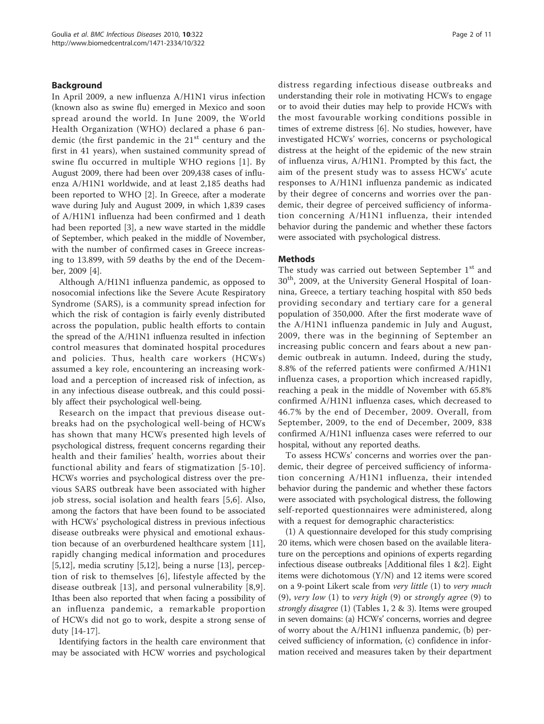#### Background

In April 2009, a new influenza A/H1N1 virus infection (known also as swine flu) emerged in Mexico and soon spread around the world. In June 2009, the World Health Organization (WHO) declared a phase 6 pandemic (the first pandemic in the  $21<sup>st</sup>$  century and the first in 41 years), when sustained community spread of swine flu occurred in multiple WHO regions [[1](#page-9-0)]. By August 2009, there had been over 209,438 cases of influenza A/H1N1 worldwide, and at least 2,185 deaths had been reported to WHO [[2\]](#page-9-0). In Greece, after a moderate wave during July and August 2009, in which 1,839 cases of A/H1N1 influenza had been confirmed and 1 death had been reported [[3\]](#page-9-0), a new wave started in the middle of September, which peaked in the middle of November, with the number of confirmed cases in Greece increasing to 13.899, with 59 deaths by the end of the December, 2009 [\[4](#page-9-0)].

Although A/H1N1 influenza pandemic, as opposed to nosocomial infections like the Severe Acute Respiratory Syndrome (SARS), is a community spread infection for which the risk of contagion is fairly evenly distributed across the population, public health efforts to contain the spread of the A/H1N1 influenza resulted in infection control measures that dominated hospital procedures and policies. Thus, health care workers (HCWs) assumed a key role, encountering an increasing workload and a perception of increased risk of infection, as in any infectious disease outbreak, and this could possibly affect their psychological well-being.

Research on the impact that previous disease outbreaks had on the psychological well-being of HCWs has shown that many HCWs presented high levels of psychological distress, frequent concerns regarding their health and their families' health, worries about their functional ability and fears of stigmatization [[5](#page-9-0)-[10\]](#page-10-0). HCWs worries and psychological distress over the previous SARS outbreak have been associated with higher job stress, social isolation and health fears [\[5](#page-9-0),[6\]](#page-9-0). Also, among the factors that have been found to be associated with HCWs' psychological distress in previous infectious disease outbreaks were physical and emotional exhaustion because of an overburdened healthcare system [\[11](#page-10-0)], rapidly changing medical information and procedures  $[5,12]$  $[5,12]$  $[5,12]$ , media scrutiny  $[5,12]$ , being a nurse  $[13]$ , perception of risk to themselves [\[6](#page-9-0)], lifestyle affected by the disease outbreak [\[13\]](#page-10-0), and personal vulnerability [[8,9](#page-10-0)]. Ithas been also reported that when facing a possibility of an influenza pandemic, a remarkable proportion of HCWs did not go to work, despite a strong sense of duty [\[14-17](#page-10-0)].

Identifying factors in the health care environment that may be associated with HCW worries and psychological distress regarding infectious disease outbreaks and understanding their role in motivating HCWs to engage or to avoid their duties may help to provide HCWs with the most favourable working conditions possible in times of extreme distress [[6\]](#page-9-0). No studies, however, have investigated HCWs' worries, concerns or psychological distress at the height of the epidemic of the new strain of influenza virus, A/H1N1. Prompted by this fact, the aim of the present study was to assess HCWs' acute responses to A/H1N1 influenza pandemic as indicated by their degree of concerns and worries over the pandemic, their degree of perceived sufficiency of information concerning A/H1N1 influenza, their intended behavior during the pandemic and whether these factors were associated with psychological distress.

#### Methods

The study was carried out between September 1<sup>st</sup> and 30th, 2009, at the University General Hospital of Ioannina, Greece, a tertiary teaching hospital with 850 beds providing secondary and tertiary care for a general population of 350,000. After the first moderate wave of the A/H1N1 influenza pandemic in July and August, 2009, there was in the beginning of September an increasing public concern and fears about a new pandemic outbreak in autumn. Indeed, during the study, 8.8% of the referred patients were confirmed A/H1N1 influenza cases, a proportion which increased rapidly, reaching a peak in the middle of November with 65.8% confirmed A/H1N1 influenza cases, which decreased to 46.7% by the end of December, 2009. Overall, from September, 2009, to the end of December, 2009, 838 confirmed A/H1N1 influenza cases were referred to our hospital, without any reported deaths.

To assess HCWs' concerns and worries over the pandemic, their degree of perceived sufficiency of information concerning A/H1N1 influenza, their intended behavior during the pandemic and whether these factors were associated with psychological distress, the following self-reported questionnaires were administered, along with a request for demographic characteristics:

(1) A questionnaire developed for this study comprising 20 items, which were chosen based on the available literature on the perceptions and opinions of experts regarding infectious disease outbreaks [Additional files [1](#page-9-0) [&2](#page-9-0)]. Eight items were dichotomous (Y/N) and 12 items were scored on a 9-point Likert scale from very little (1) to very much (9), very low (1) to very high (9) or strongly agree (9) to strongly disagree (1) (Tables [1,](#page-2-0) [2](#page-3-0) & [3\)](#page-3-0). Items were grouped in seven domains: (a) HCWs' concerns, worries and degree of worry about the A/H1N1 influenza pandemic, (b) perceived sufficiency of information, (c) confidence in information received and measures taken by their department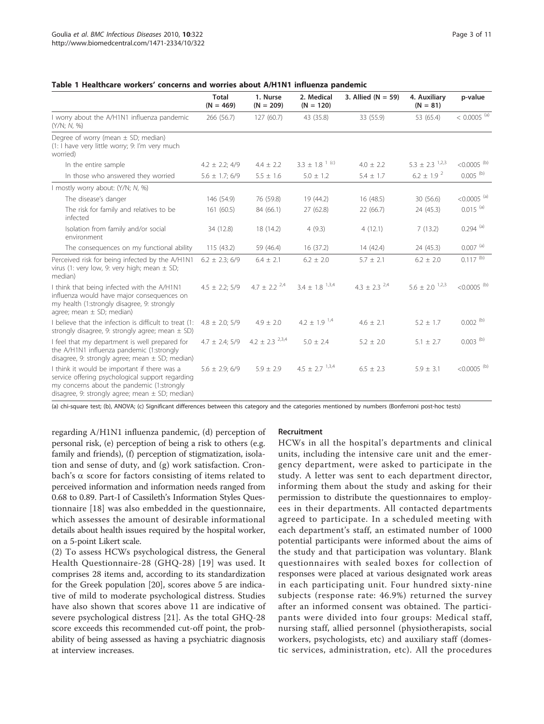#### <span id="page-2-0"></span>Table 1 Healthcare workers' concerns and worries about A/H1N1 influenza pandemic

|                                                                                                                                                                                                       | <b>Total</b><br>$(N = 469)$ | 1. Nurse<br>$(N = 209)$                            | 2. Medical<br>$(N = 120)$      | 3. Allied $(N = 59)$         | 4. Auxiliary<br>$(N = 81)$     | p-value                   |
|-------------------------------------------------------------------------------------------------------------------------------------------------------------------------------------------------------|-----------------------------|----------------------------------------------------|--------------------------------|------------------------------|--------------------------------|---------------------------|
| I worry about the A/H1N1 influenza pandemic<br>(Y/N; N, %)                                                                                                                                            | 266 (56.7)                  | 127(60.7)                                          | 43 (35.8)                      | 33 (55.9)                    | 53 (65.4)                      | $< 0.0005$ <sup>(a)</sup> |
| Degree of worry (mean $\pm$ SD; median)<br>(1: I have very little worry; 9: I'm very much<br>worried)                                                                                                 |                             |                                                    |                                |                              |                                |                           |
| In the entire sample                                                                                                                                                                                  | $4.2 \pm 2.2$ ; 4/9         | $4.4 \pm 2.2$                                      | $3.3 \pm 1.8$ <sup>1 (c)</sup> | $4.0 \pm 2.2$                | $5.3 \pm 2.3$ <sup>1,2,3</sup> | $< 0.0005$ <sup>(b)</sup> |
| In those who answered they worried                                                                                                                                                                    | $5.6 \pm 1.7$ ; 6/9         | $5.5 \pm 1.6$                                      | $5.0 \pm 1.2$                  | $5.4 \pm 1.7$                | $6.2 \pm 1.9^{2}$              | $0.005$ <sup>(b)</sup>    |
| I mostly worry about: (Y/N; N, %)                                                                                                                                                                     |                             |                                                    |                                |                              |                                |                           |
| The disease's danger                                                                                                                                                                                  | 146 (54.9)                  | 76 (59.8)                                          | 19 (44.2)                      | 16(48.5)                     | 30 (56.6)                      | $<$ 0.0005 $^{(a)}$       |
| The risk for family and relatives to be<br>infected                                                                                                                                                   | 161(60.5)                   | 84 (66.1)                                          | 27 (62.8)                      | 22 (66.7)                    | 24 (45.3)                      | $0.015$ <sup>(a)</sup>    |
| Isolation from family and/or social<br>environment                                                                                                                                                    | 34 (12.8)                   | 18 (14.2)                                          | 4(9.3)                         | 4(12.1)                      | 7(13.2)                        | $0.294$ <sup>(a)</sup>    |
| The consequences on my functional ability                                                                                                                                                             | 115(43.2)                   | 59 (46.4)                                          | 16(37.2)                       | 14(42.4)                     | 24 (45.3)                      | $0.007$ <sup>(a)</sup>    |
| Perceived risk for being infected by the A/H1N1<br>virus (1: very low, 9: very high; mean $\pm$ SD;<br>median)                                                                                        | $6.2 \pm 2.3$ ; 6/9         | $6.4 \pm 2.1$                                      | $6.2 \pm 2.0$                  | $5.7 \pm 2.1$                | $6.2 \pm 2.0$                  | $0.117^{(b)}$             |
| I think that being infected with the A/H1N1<br>influenza would have major consequences on<br>my health (1:strongly disagree, 9: strongly<br>agree; mean $\pm$ SD; median)                             |                             | $4.5 \pm 2.2$ ; 5/9 $4.7 \pm 2.2$ <sup>2,4</sup>   | $3.4 \pm 1.8$ $^{1,3,4}$       | 4.3 $\pm$ 2.3 <sup>2,4</sup> | $5.6 \pm 2.0^{1,2,3}$          | $< 0.0005$ <sup>(b)</sup> |
| I believe that the infection is difficult to treat (1:<br>strongly disagree, 9: strongly agree; mean $\pm$ SD)                                                                                        | $4.8 \pm 2.0; 5/9$          | $4.9 \pm 2.0$                                      | 4.2 $\pm$ 1.9 <sup>1,4</sup>   | $4.6 \pm 2.1$                | $5.2 \pm 1.7$                  | $0.002$ <sup>(b)</sup>    |
| I feel that my department is well prepared for<br>the A/H1N1 influenza pandemic (1:strongly<br>disagree, 9: strongly agree; mean $\pm$ SD; median)                                                    |                             | $4.7 \pm 2.4$ ; 5/9 $4.2 \pm 2.3$ <sup>2,3,4</sup> | $5.0 \pm 2.4$                  | $5.2 \pm 2.0$                | $5.1 \pm 2.7$                  | $0.003$ (b)               |
| I think it would be important if there was a<br>service offering psychological support regarding<br>my concerns about the pandemic (1:strongly<br>disagree, 9: strongly agree; mean $\pm$ SD; median) | $5.6 \pm 2.9; 6/9$          | $5.9 \pm 2.9$                                      | $4.5 \pm 2.7$ <sup>1,3,4</sup> | $6.5 \pm 2.3$                | $5.9 \pm 3.1$                  | $< 0.0005$ <sup>(b)</sup> |

(a) chi-square test; (b), ANOVA; (c) Significant differences between this category and the categories mentioned by numbers (Bonferroni post-hoc tests)

regarding A/H1N1 influenza pandemic, (d) perception of personal risk, (e) perception of being a risk to others (e.g. family and friends), (f) perception of stigmatization, isolation and sense of duty, and (g) work satisfaction. Cronbach's  $\alpha$  score for factors consisting of items related to perceived information and information needs ranged from 0.68 to 0.89. Part-I of Cassileth's Information Styles Questionnaire [\[18\]](#page-10-0) was also embedded in the questionnaire, which assesses the amount of desirable informational details about health issues required by the hospital worker, on a 5-point Likert scale.

(2) To assess HCWs psychological distress, the General Health Questionnaire-28 (GHQ-28) [[19](#page-10-0)] was used. It comprises 28 items and, according to its standardization for the Greek population [[20](#page-10-0)], scores above 5 are indicative of mild to moderate psychological distress. Studies have also shown that scores above 11 are indicative of severe psychological distress [\[21](#page-10-0)]. As the total GHQ-28 score exceeds this recommended cut-off point, the probability of being assessed as having a psychiatric diagnosis at interview increases

#### Recruitment

HCWs in all the hospital's departments and clinical units, including the intensive care unit and the emergency department, were asked to participate in the study. A letter was sent to each department director, informing them about the study and asking for their permission to distribute the questionnaires to employees in their departments. All contacted departments agreed to participate. In a scheduled meeting with each department's staff, an estimated number of 1000 potential participants were informed about the aims of the study and that participation was voluntary. Blank questionnaires with sealed boxes for collection of responses were placed at various designated work areas in each participating unit. Four hundred sixty-nine subjects (response rate: 46.9%) returned the survey after an informed consent was obtained. The participants were divided into four groups: Medical staff, nursing staff, allied personnel (physiotherapists, social workers, psychologists, etc) and auxiliary staff (domestic services, administration, etc). All the procedures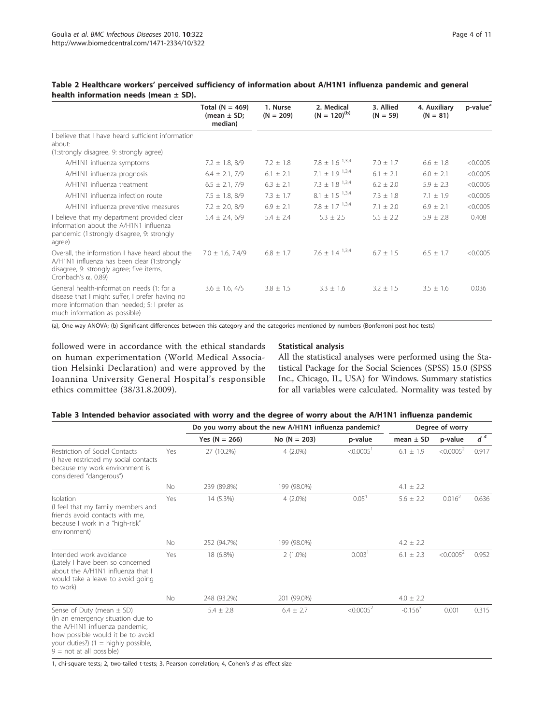|                                                                                                                                                                                | Total ( $N = 469$ )<br>(mean $\pm$ SD;<br>median) | 1. Nurse<br>$(N = 209)$ | 2. Medical<br>$(N = 120)^{(b)}$ | 3. Allied<br>$(N = 59)$ | 4. Auxiliary<br>$(N = 81)$ | p-value <sup>a</sup> |
|--------------------------------------------------------------------------------------------------------------------------------------------------------------------------------|---------------------------------------------------|-------------------------|---------------------------------|-------------------------|----------------------------|----------------------|
| believe that I have heard sufficient information                                                                                                                               |                                                   |                         |                                 |                         |                            |                      |
| about:                                                                                                                                                                         |                                                   |                         |                                 |                         |                            |                      |
| (1:strongly disagree, 9: strongly agree)                                                                                                                                       |                                                   |                         |                                 |                         |                            |                      |
| A/H1N1 influenza symptoms                                                                                                                                                      | $7.2 \pm 1.8, 8/9$                                | $7.2 \pm 1.8$           | $7.8 \pm 1.6$ <sup>1,3,4</sup>  | $7.0 \pm 1.7$           | $6.6 \pm 1.8$              | < 0.0005             |
| A/H1N1 influenza prognosis                                                                                                                                                     | $6.4 \pm 2.1, 7/9$                                | $6.1 \pm 2.1$           | 7.1 $\pm$ 1.9 <sup>1,3,4</sup>  | $6.1 \pm 2.1$           | $6.0 \pm 2.1$              | < 0.0005             |
| A/H1N1 influenza treatment                                                                                                                                                     | $6.5 \pm 2.1, 7/9$                                | $6.3 \pm 2.1$           | $7.3 \pm 1.8$ $^{1,3,4}$        | $6.2 \pm 2.0$           | $5.9 \pm 2.3$              | < 0.0005             |
| A/H1N1 influenza infection route                                                                                                                                               | $7.5 \pm 1.8, 8/9$                                | $7.3 \pm 1.7$           | $8.1 \pm 1.5$ $1.3.4$           | $7.3 \pm 1.8$           | $7.1 \pm 1.9$              | < 0.0005             |
| A/H1N1 influenza preventive measures                                                                                                                                           | $7.2 \pm 2.0, 8/9$                                | $6.9 \pm 2.1$           | $7.8 \pm 1.7$ <sup>1,3,4</sup>  | $7.1 + 2.0$             | $6.9 \pm 2.1$              | < 0.0005             |
| I believe that my department provided clear<br>information about the A/H1N1 influenza<br>pandemic (1:strongly disagree, 9: strongly<br>agree)                                  | $5.4 \pm 2.4, 6/9$                                | $5.4 \pm 2.4$           | $5.3 \pm 2.5$                   | $5.5 \pm 2.2$           | $5.9 \pm 2.8$              | 0.408                |
| Overall, the information I have heard about the<br>A/H1N1 influenza has been clear (1:strongly<br>disagree, 9: strongly agree; five items,<br>Cronbach's $\alpha$ , 0.89)      | $7.0 \pm 1.6$ , 7.4/9                             | $6.8 \pm 1.7$           | $7.6 \pm 1.4$ $1.3.4$           | $6.7 + 1.5$             | $6.5 \pm 1.7$              | < 0.0005             |
| General health-information needs (1: for a<br>disease that I might suffer, I prefer having no<br>more information than needed; 5: I prefer as<br>much information as possible) | $3.6 \pm 1.6, 4/5$                                | $3.8 \pm 1.5$           | $3.3 \pm 1.6$                   | $3.2 \pm 1.5$           | $3.5 \pm 1.6$              | 0.036                |

#### <span id="page-3-0"></span>Table 2 Healthcare workers' perceived sufficiency of information about A/H1N1 influenza pandemic and general health information needs (mean  $\pm$  SD).

(a), One-way ANOVA; (b) Significant differences between this category and the categories mentioned by numbers (Bonferroni post-hoc tests)

followed were in accordance with the ethical standards on human experimentation (World Medical Association Helsinki Declaration) and were approved by the Ioannina University General Hospital's responsible ethics committee (38/31.8.2009).

#### Statistical analysis

All the statistical analyses were performed using the Statistical Package for the Social Sciences (SPSS) 15.0 (SPSS Inc., Chicago, IL, USA) for Windows. Summary statistics for all variables were calculated. Normality was tested by

| Table 3 Intended behavior associated with worry and the degree of worry about the A/H1N1 influenza pandemic |  |  |  |  |  |
|-------------------------------------------------------------------------------------------------------------|--|--|--|--|--|
|                                                                                                             |  |  |  |  |  |

|                                                                                                                                                                                                                 |           |                 | Do you worry about the new A/H1N1 influenza pandemic? |                       |               | Degree of worry       |       |  |
|-----------------------------------------------------------------------------------------------------------------------------------------------------------------------------------------------------------------|-----------|-----------------|-------------------------------------------------------|-----------------------|---------------|-----------------------|-------|--|
|                                                                                                                                                                                                                 |           | Yes $(N = 266)$ | $No (N = 203)$                                        | p-value               | mean $\pm$ SD | p-value               | $d^4$ |  |
| Restriction of Social Contacts<br>(I have restricted my social contacts<br>because my work environment is<br>considered "dangerous")                                                                            | Yes       | 27 (10.2%)      | $4(2.0\%)$                                            | < 0.0005 <sup>1</sup> | $6.1 \pm 1.9$ | $< 0.0005^2$          | 0.917 |  |
|                                                                                                                                                                                                                 | <b>No</b> | 239 (89.8%)     | 199 (98.0%)                                           |                       | 4.1 $\pm$ 2.2 |                       |       |  |
| Isolation<br>(I feel that my family members and<br>friends avoid contacts with me,<br>because I work in a "high-risk"<br>environment)                                                                           | Yes       | 14 (5.3%)       | $4(2.0\%)$                                            | 0.05 <sup>1</sup>     | $5.6 \pm 2.2$ | $0.016^2$             | 0.636 |  |
|                                                                                                                                                                                                                 | <b>No</b> | 252 (94.7%)     | 199 (98.0%)                                           |                       | $4.2 \pm 2.2$ |                       |       |  |
| Intended work avoidance<br>(Lately I have been so concerned<br>about the A/H1N1 influenza that I<br>would take a leave to avoid going<br>to work)                                                               | Yes       | 18 (6.8%)       | $2(1.0\%)$                                            | 0.003 <sup>1</sup>    | $6.1 \pm 2.3$ | < 0.0005 <sup>2</sup> | 0.952 |  |
|                                                                                                                                                                                                                 | <b>No</b> | 248 (93.2%)     | 201 (99.0%)                                           |                       | $4.0 \pm 2.2$ |                       |       |  |
| Sense of Duty (mean $\pm$ SD)<br>(In an emergency situation due to<br>the A/H1N1 influenza pandemic,<br>how possible would it be to avoid<br>your duties?) $(1 =$ highly possible,<br>$9 = not at all possible$ |           | $5.4 \pm 2.8$   | $6.4 \pm 2.7$                                         | < 0.0005 <sup>2</sup> | $-0.1563$     | 0.001                 | 0.315 |  |

1, chi-square tests; 2, two-tailed t-tests; 3, Pearson correlation; 4, Cohen's d as effect size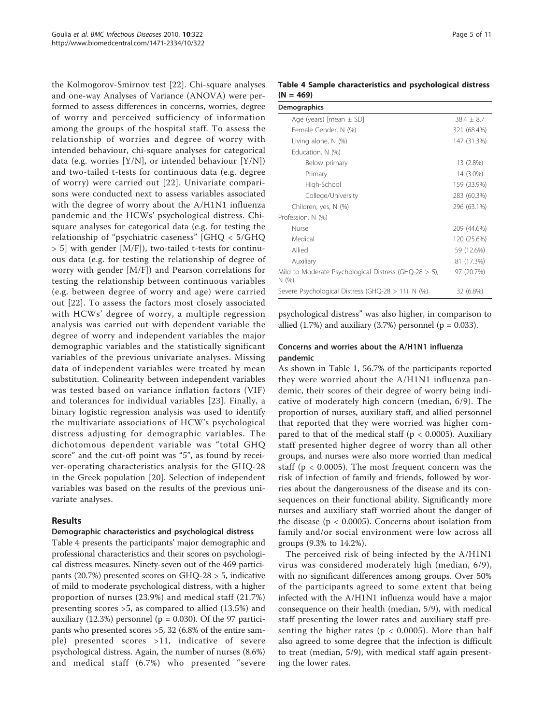the Kolmogorov-Smirnov test [[22\]](#page-10-0). Chi-square analyses and one-way Analyses of Variance (ANOVA) were performed to assess differences in concerns, worries, degree of worry and perceived sufficiency of information among the groups of the hospital staff. To assess the relationship of worries and degree of worry with intended behaviour, chi-square analyses for categorical data (e.g. worries [Y/N], or intended behaviour [Y/N]) and two-tailed t-tests for continuous data (e.g. degree of worry) were carried out [[22](#page-10-0)]. Univariate comparisons were conducted next to assess variables associated with the degree of worry about the A/H1N1 influenza pandemic and the HCWs' psychological distress. Chisquare analyses for categorical data (e.g. for testing the relationship of "psychiatric caseness" [GHQ < 5/GHQ > 5] with gender [M/F]), two-tailed t-tests for continuous data (e.g. for testing the relationship of degree of worry with gender [M/F]) and Pearson correlations for testing the relationship between continuous variables (e.g. between degree of worry and age) were carried out [[22\]](#page-10-0). To assess the factors most closely associated with HCWs' degree of worry, a multiple regression analysis was carried out with dependent variable the degree of worry and independent variables the major demographic variables and the statistically significant variables of the previous univariate analyses. Missing data of independent variables were treated by mean substitution. Colinearity between independent variables was tested based on variance inflation factors (VIF) and tolerances for individual variables [\[23\]](#page-10-0). Finally, a binary logistic regression analysis was used to identify the multivariate associations of HCW's psychological distress adjusting for demographic variables. The dichotomous dependent variable was "total GHQ score" and the cut-off point was "5", as found by receiver-operating characteristics analysis for the GHQ-28 in the Greek population [[20](#page-10-0)]. Selection of independent variables was based on the results of the previous univariate analyses.

#### Results

#### Demographic characteristics and psychological distress

Table 4 presents the participants' major demographic and professional characteristics and their scores on psychological distress measures. Ninety-seven out of the 469 participants (20.7%) presented scores on GHQ-28 > 5, indicative of mild to moderate psychological distress, with a higher proportion of nurses (23.9%) and medical staff (21.7%) presenting scores >5, as compared to allied (13.5%) and auxiliary  $(12.3%)$  personnel ( $p = 0.030$ ). Of the 97 participants who presented scores >5, 32 (6.8% of the entire sample) presented scores >11, indicative of severe psychological distress. Again, the number of nurses (8.6%) and medical staff (6.7%) who presented "severe

## Table 4 Sample characteristics and psychological distress  $(N = 469)$

| <b>Demographics</b>                                              |                |
|------------------------------------------------------------------|----------------|
| Age (years) [mean $\pm$ SD]                                      | $38.4 \pm 8.7$ |
| Female Gender, N (%)                                             | 321 (68.4%)    |
| Living alone, N (%)                                              | 147 (31.3%)    |
| Education, N (%)                                                 |                |
| Below primary                                                    | 13 (2.8%)      |
| Primary                                                          | 14 (3.0%)      |
| High-School                                                      | 159 (33.9%)    |
| College/University                                               | 283 (60.3%)    |
| Children; yes, N (%)                                             | 296 (63.1%)    |
| Profession, N (%)                                                |                |
| Nurse                                                            | 209 (44.6%)    |
| Medical                                                          | 120 (25.6%)    |
| Allied                                                           | 59 (12.6%)     |
| Auxiliary                                                        | 81 (17.3%)     |
| Mild to Moderate Psychological Distress (GHQ-28 $>$ 5),<br>N(% ) | 97 (20.7%)     |
| Severe Psychological Distress (GHQ-28 > 11), N (%)               | 32 (6.8%)      |

psychological distress" was also higher, in comparison to allied  $(1.7%)$  and auxiliary  $(3.7%)$  personnel  $(p = 0.033)$ .

#### Concerns and worries about the A/H1N1 influenza pandemic

As shown in Table [1,](#page-2-0) 56.7% of the participants reported they were worried about the A/H1N1 influenza pandemic, their scores of their degree of worry being indicative of moderately high concern (median, 6/9). The proportion of nurses, auxiliary staff, and allied personnel that reported that they were worried was higher compared to that of the medical staff ( $p < 0.0005$ ). Auxiliary staff presented higher degree of worry than all other groups, and nurses were also more worried than medical staff ( $p < 0.0005$ ). The most frequent concern was the risk of infection of family and friends, followed by worries about the dangerousness of the disease and its consequences on their functional ability. Significantly more nurses and auxiliary staff worried about the danger of the disease ( $p < 0.0005$ ). Concerns about isolation from family and/or social environment were low across all groups (9.3% to 14.2%).

The perceived risk of being infected by the A/H1N1 virus was considered moderately high (median, 6/9), with no significant differences among groups. Over 50% of the participants agreed to some extent that being infected with the A/H1N1 influenza would have a major consequence on their health (median, 5/9), with medical staff presenting the lower rates and auxiliary staff presenting the higher rates ( $p < 0.0005$ ). More than half also agreed to some degree that the infection is difficult to treat (median, 5/9), with medical staff again presenting the lower rates.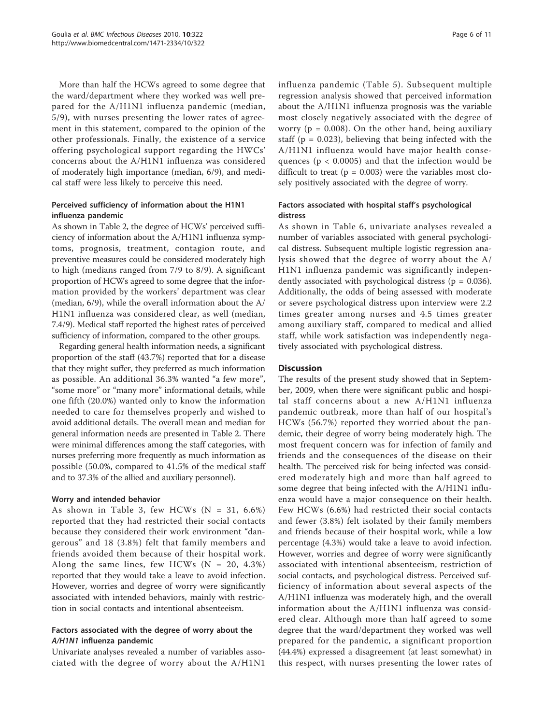More than half the HCWs agreed to some degree that the ward/department where they worked was well prepared for the A/H1N1 influenza pandemic (median, 5/9), with nurses presenting the lower rates of agreement in this statement, compared to the opinion of the other professionals. Finally, the existence of a service offering psychological support regarding the HWCs' concerns about the A/H1N1 influenza was considered of moderately high importance (median, 6/9), and medical staff were less likely to perceive this need.

## Perceived sufficiency of information about the H1N1 influenza pandemic

As shown in Table [2,](#page-3-0) the degree of HCWs' perceived sufficiency of information about the A/H1N1 influenza symptoms, prognosis, treatment, contagion route, and preventive measures could be considered moderately high to high (medians ranged from 7/9 to 8/9). A significant proportion of HCWs agreed to some degree that the information provided by the workers' department was clear (median, 6/9), while the overall information about the A/ H1N1 influenza was considered clear, as well (median, 7.4/9). Medical staff reported the highest rates of perceived sufficiency of information, compared to the other groups.

Regarding general health information needs, a significant proportion of the staff (43.7%) reported that for a disease that they might suffer, they preferred as much information as possible. An additional 36.3% wanted "a few more", "some more" or "many more" informational details, while one fifth (20.0%) wanted only to know the information needed to care for themselves properly and wished to avoid additional details. The overall mean and median for general information needs are presented in Table [2.](#page-3-0) There were minimal differences among the staff categories, with nurses preferring more frequently as much information as possible (50.0%, compared to 41.5% of the medical staff and to 37.3% of the allied and auxiliary personnel).

#### Worry and intended behavior

As shown in Table [3](#page-3-0), few HCWs  $(N = 31, 6.6\%)$ reported that they had restricted their social contacts because they considered their work environment "dangerous" and 18 (3.8%) felt that family members and friends avoided them because of their hospital work. Along the same lines, few HCWs  $(N = 20, 4.3\%)$ reported that they would take a leave to avoid infection. However, worries and degree of worry were significantly associated with intended behaviors, mainly with restriction in social contacts and intentional absenteeism.

## Factors associated with the degree of worry about the A/H1N1 influenza pandemic

Univariate analyses revealed a number of variables associated with the degree of worry about the A/H1N1

influenza pandemic (Table [5\)](#page-6-0). Subsequent multiple regression analysis showed that perceived information about the A/H1N1 influenza prognosis was the variable most closely negatively associated with the degree of worry ( $p = 0.008$ ). On the other hand, being auxiliary staff ( $p = 0.023$ ), believing that being infected with the A/H1N1 influenza would have major health consequences ( $p < 0.0005$ ) and that the infection would be difficult to treat ( $p = 0.003$ ) were the variables most closely positively associated with the degree of worry.

## Factors associated with hospital staff's psychological distress

As shown in Table [6,](#page-7-0) univariate analyses revealed a number of variables associated with general psychological distress. Subsequent multiple logistic regression analysis showed that the degree of worry about the A/ H1N1 influenza pandemic was significantly independently associated with psychological distress ( $p = 0.036$ ). Additionally, the odds of being assessed with moderate or severe psychological distress upon interview were 2.2 times greater among nurses and 4.5 times greater among auxiliary staff, compared to medical and allied staff, while work satisfaction was independently negatively associated with psychological distress.

## **Discussion**

The results of the present study showed that in September, 2009, when there were significant public and hospital staff concerns about a new A/H1N1 influenza pandemic outbreak, more than half of our hospital's HCWs (56.7%) reported they worried about the pandemic, their degree of worry being moderately high. The most frequent concern was for infection of family and friends and the consequences of the disease on their health. The perceived risk for being infected was considered moderately high and more than half agreed to some degree that being infected with the A/H1N1 influenza would have a major consequence on their health. Few HCWs (6.6%) had restricted their social contacts and fewer (3.8%) felt isolated by their family members and friends because of their hospital work, while a low percentage (4.3%) would take a leave to avoid infection. However, worries and degree of worry were significantly associated with intentional absenteeism, restriction of social contacts, and psychological distress. Perceived sufficiency of information about several aspects of the A/H1N1 influenza was moderately high, and the overall information about the A/H1N1 influenza was considered clear. Although more than half agreed to some degree that the ward/department they worked was well prepared for the pandemic, a significant proportion (44.4%) expressed a disagreement (at least somewhat) in this respect, with nurses presenting the lower rates of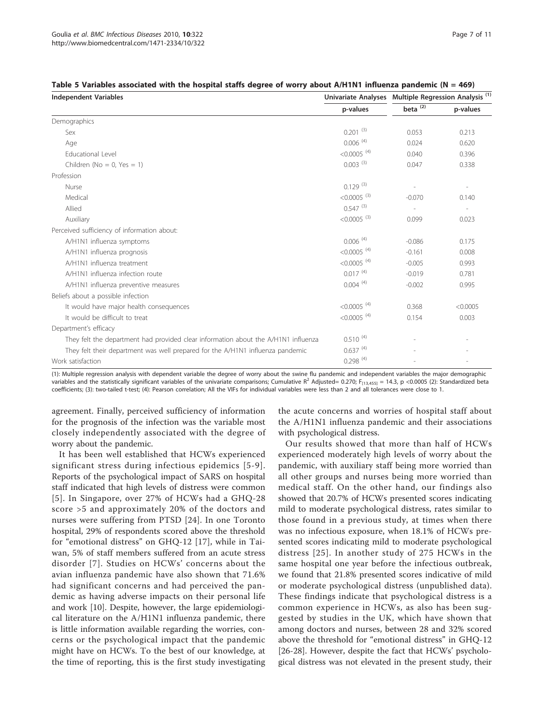| <b>Independent Variables</b>                                                       |                           | Univariate Analyses Multiple Regression Analysis <sup>(1)</sup> |                          |  |
|------------------------------------------------------------------------------------|---------------------------|-----------------------------------------------------------------|--------------------------|--|
|                                                                                    | p-values                  | beta <sup>(2)</sup>                                             | p-values                 |  |
| Demographics                                                                       |                           |                                                                 |                          |  |
| Sex                                                                                | $0.201^{(3)}$             | 0.053                                                           | 0.213                    |  |
| Age                                                                                | $0.006$ <sup>(4)</sup>    | 0.024                                                           | 0.620                    |  |
| <b>Educational Level</b>                                                           | $< 0.0005$ <sup>(4)</sup> | 0.040                                                           | 0.396                    |  |
| Children ( $No = 0$ , $Yes = 1$ )                                                  | $0.003^{(3)}$             | 0.047                                                           | 0.338                    |  |
| Profession                                                                         |                           |                                                                 |                          |  |
| Nurse                                                                              | $0.129^{(3)}$             | $\overline{\phantom{a}}$                                        | $\overline{\phantom{a}}$ |  |
| Medical                                                                            | $< 0.0005$ <sup>(3)</sup> | $-0.070$                                                        | 0.140                    |  |
| Allied                                                                             | $0.547^{(3)}$             | $\overline{\phantom{a}}$                                        | $\overline{\phantom{a}}$ |  |
| Auxiliary                                                                          | $< 0.0005$ <sup>(3)</sup> | 0.099                                                           | 0.023                    |  |
| Perceived sufficiency of information about:                                        |                           |                                                                 |                          |  |
| A/H1N1 influenza symptoms                                                          | $0.006$ <sup>(4)</sup>    | $-0.086$                                                        | 0.175                    |  |
| A/H1N1 influenza prognosis                                                         | $< 0.0005$ <sup>(4)</sup> | $-0.161$                                                        | 0.008                    |  |
| A/H1N1 influenza treatment                                                         | $< 0.0005$ <sup>(4)</sup> | $-0.005$                                                        | 0.993                    |  |
| A/H1N1 influenza infection route                                                   | $0.017^{(4)}$             | $-0.019$                                                        | 0.781                    |  |
| A/H1N1 influenza preventive measures                                               | $0.004^{(4)}$             | $-0.002$                                                        | 0.995                    |  |
| Beliefs about a possible infection                                                 |                           |                                                                 |                          |  |
| It would have major health consequences                                            | $< 0.0005$ <sup>(4)</sup> | 0.368                                                           | < 0.0005                 |  |
| It would be difficult to treat                                                     | $< 0.0005$ <sup>(4)</sup> | 0.154                                                           | 0.003                    |  |
| Department's efficacy                                                              |                           |                                                                 |                          |  |
| They felt the department had provided clear information about the A/H1N1 influenza | $0.510^{(4)}$             |                                                                 |                          |  |
| They felt their department was well prepared for the A/H1N1 influenza pandemic     | $0.637^{(4)}$             |                                                                 |                          |  |
| Work satisfaction                                                                  | $0.298^{(4)}$             |                                                                 |                          |  |

<span id="page-6-0"></span>

| Table 5 Variables associated with the hospital staffs degree of worry about $A/H1N1$ influenza pandemic ( $N = 469$ ) |  |  |  |  |  |
|-----------------------------------------------------------------------------------------------------------------------|--|--|--|--|--|
|-----------------------------------------------------------------------------------------------------------------------|--|--|--|--|--|

(1): Multiple regression analysis with dependent variable the degree of worry about the swine flu pandemic and independent variables the major demographic variables and the statistically significant variables of the univariate comparisons; Cumulative R<sup>2</sup> Adjusted= 0.270; F<sub>[13,455]</sub> = 14.3, p <0.0005 (2): Standardized beta coefficients; (3): two-tailed t-test; (4): Pearson correlation; All the VIFs for individual variables were less than 2 and all tolerances were close to 1.

agreement. Finally, perceived sufficiency of information for the prognosis of the infection was the variable most closely independently associated with the degree of worry about the pandemic.

It has been well established that HCWs experienced significant stress during infectious epidemics [[5](#page-9-0)-[9\]](#page-10-0). Reports of the psychological impact of SARS on hospital staff indicated that high levels of distress were common [[5](#page-9-0)]. In Singapore, over 27% of HCWs had a GHQ-28 score >5 and approximately 20% of the doctors and nurses were suffering from PTSD [[24\]](#page-10-0). In one Toronto hospital, 29% of respondents scored above the threshold for "emotional distress" on GHQ-12 [[17\]](#page-10-0), while in Taiwan, 5% of staff members suffered from an acute stress disorder [[7\]](#page-10-0). Studies on HCWs' concerns about the avian influenza pandemic have also shown that 71.6% had significant concerns and had perceived the pandemic as having adverse impacts on their personal life and work [[10\]](#page-10-0). Despite, however, the large epidemiological literature on the A/H1N1 influenza pandemic, there is little information available regarding the worries, concerns or the psychological impact that the pandemic might have on HCWs. To the best of our knowledge, at the time of reporting, this is the first study investigating

the acute concerns and worries of hospital staff about the A/H1N1 influenza pandemic and their associations with psychological distress.

Our results showed that more than half of HCWs experienced moderately high levels of worry about the pandemic, with auxiliary staff being more worried than all other groups and nurses being more worried than medical staff. On the other hand, our findings also showed that 20.7% of HCWs presented scores indicating mild to moderate psychological distress, rates similar to those found in a previous study, at times when there was no infectious exposure, when 18.1% of HCWs presented scores indicating mild to moderate psychological distress [[25\]](#page-10-0). In another study of 275 HCWs in the same hospital one year before the infectious outbreak, we found that 21.8% presented scores indicative of mild or moderate psychological distress (unpublished data). These findings indicate that psychological distress is a common experience in HCWs, as also has been suggested by studies in the UK, which have shown that among doctors and nurses, between 28 and 32% scored above the threshold for "emotional distress" in GHQ-12 [[26-28\]](#page-10-0). However, despite the fact that HCWs' psychological distress was not elevated in the present study, their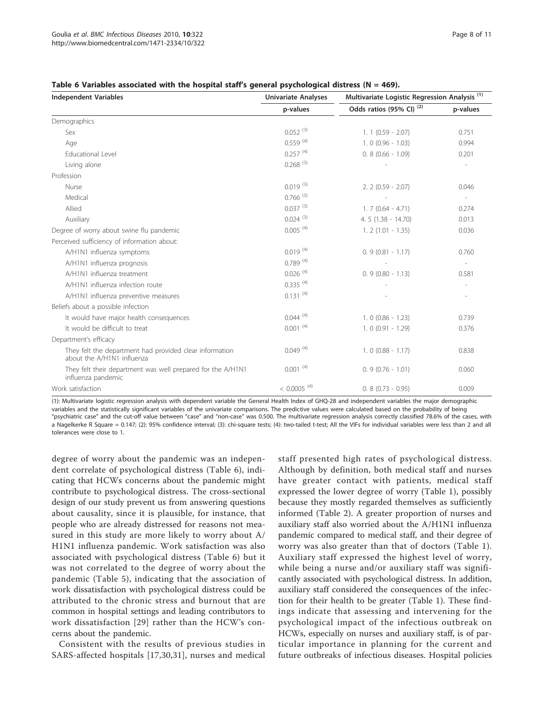<span id="page-7-0"></span>

| Table 6 Variables associated with the hospital staff's general psychological distress ( $N = 469$ ). |  |
|------------------------------------------------------------------------------------------------------|--|
|------------------------------------------------------------------------------------------------------|--|

| <b>Independent Variables</b>                                                          | <b>Univariate Analyses</b> | Multivariate Logistic Regression Analysis <sup>(1)</sup> |                          |  |
|---------------------------------------------------------------------------------------|----------------------------|----------------------------------------------------------|--------------------------|--|
|                                                                                       | p-values                   | Odds ratios (95% CI) <sup>(2)</sup>                      | p-values                 |  |
| Demographics                                                                          |                            |                                                          |                          |  |
| Sex                                                                                   | $0.052^{(3)}$              | $1.1$ (0.59 - 2.07)                                      | 0.751                    |  |
| Age                                                                                   | $0.559$ <sup>(4)</sup>     | $1.0(0.96 - 1.03)$                                       | 0.994                    |  |
| Educational Level                                                                     | $0.257^{(4)}$              | $0.8(0.66 - 1.09)$                                       | 0.201                    |  |
| Living alone                                                                          | $0.268^{(3)}$              |                                                          | ٠                        |  |
| Profession                                                                            |                            |                                                          |                          |  |
| Nurse                                                                                 | $0.019^{(3)}$              | $2.2$ (0.59 - 2.07)                                      | 0.046                    |  |
| Medical                                                                               | $0.766^{(3)}$              |                                                          | $\sim$                   |  |
| Allied                                                                                | $0.037^{(3)}$              | $1.7(0.64 - 4.71)$                                       | 0.274                    |  |
| Auxiliary                                                                             | $0.024$ <sup>(3)</sup>     | $4.5(1.38 - 14.70)$                                      | 0.013                    |  |
| Degree of worry about swine flu pandemic                                              | $0.005^{(4)}$              | $1.2(1.01 - 1.35)$                                       | 0.036                    |  |
| Perceived sufficiency of information about:                                           |                            |                                                          |                          |  |
| A/H1N1 influenza symptoms                                                             | $0.019^{(4)}$              | $0.9(0.81 - 1.17)$                                       | 0.760                    |  |
| A/H1N1 influenza prognosis                                                            | $0.789^{(4)}$              |                                                          | $\sim$                   |  |
| A/H1N1 influenza treatment                                                            | $0.026$ <sup>(4)</sup>     | $0.9(0.80 - 1.13)$                                       | 0.581                    |  |
| A/H1N1 influenza infection route                                                      | $0.335^{(4)}$              |                                                          | $\sim$                   |  |
| A/H1N1 influenza preventive measures                                                  | $0.131^{(4)}$              |                                                          | $\overline{\phantom{a}}$ |  |
| Beliefs about a possible infection                                                    |                            |                                                          |                          |  |
| It would have major health consequences                                               | $0.044^{(4)}$              | $1.0$ (0.86 - 1.23)                                      | 0.739                    |  |
| It would be difficult to treat                                                        | $0.001^{(4)}$              | $1.0$ (0.91 - 1.29)                                      | 0.376                    |  |
| Department's efficacy                                                                 |                            |                                                          |                          |  |
| They felt the department had provided clear information<br>about the A/H1N1 influenza | $0.049^{(4)}$              | $1.0$ (0.88 - 1.17)                                      | 0.838                    |  |
| They felt their department was well prepared for the A/H1N1<br>influenza pandemic     | $0.001^{(4)}$              | $0.9(0.76 - 1.01)$                                       | 0.060                    |  |
| Work satisfaction                                                                     | $< 0.0005$ <sup>(4)</sup>  | $0.8$ $(0.73 - 0.95)$                                    | 0.009                    |  |

(1): Multivariate logistic regression analysis with dependent variable the General Health Index of GHQ-28 and independent variables the major demographic variables and the statistically significant variables of the univariate comparisons. The predictive values were calculated based on the probability of being "psychiatric case" and the cut-off value between "case" and "non-case" was 0.500. The multivariate regression analysis correctly classified 78.6% of the cases, with a Nagelkerke R Square = 0.147; (2): 95% confidence interval; (3): chi-square tests; (4): two-tailed t-test; All the VIFs for individual variables were less than 2 and all tolerances were close to 1.

degree of worry about the pandemic was an independent correlate of psychological distress (Table 6), indicating that HCWs concerns about the pandemic might contribute to psychological distress. The cross-sectional design of our study prevent us from answering questions about causality, since it is plausible, for instance, that people who are already distressed for reasons not measured in this study are more likely to worry about A/ H1N1 influenza pandemic. Work satisfaction was also associated with psychological distress (Table 6) but it was not correlated to the degree of worry about the pandemic (Table [5](#page-6-0)), indicating that the association of work dissatisfaction with psychological distress could be attributed to the chronic stress and burnout that are common in hospital settings and leading contributors to work dissatisfaction [[29](#page-10-0)] rather than the HCW's concerns about the pandemic.

Consistent with the results of previous studies in SARS-affected hospitals [\[17](#page-10-0),[30,31](#page-10-0)], nurses and medical staff presented high rates of psychological distress. Although by definition, both medical staff and nurses have greater contact with patients, medical staff expressed the lower degree of worry (Table [1\)](#page-2-0), possibly because they mostly regarded themselves as sufficiently informed (Table [2](#page-3-0)). A greater proportion of nurses and auxiliary staff also worried about the A/H1N1 influenza pandemic compared to medical staff, and their degree of worry was also greater than that of doctors (Table [1](#page-2-0)). Auxiliary staff expressed the highest level of worry, while being a nurse and/or auxiliary staff was significantly associated with psychological distress. In addition, auxiliary staff considered the consequences of the infection for their health to be greater (Table [1](#page-2-0)). These findings indicate that assessing and intervening for the psychological impact of the infectious outbreak on HCWs, especially on nurses and auxiliary staff, is of particular importance in planning for the current and future outbreaks of infectious diseases. Hospital policies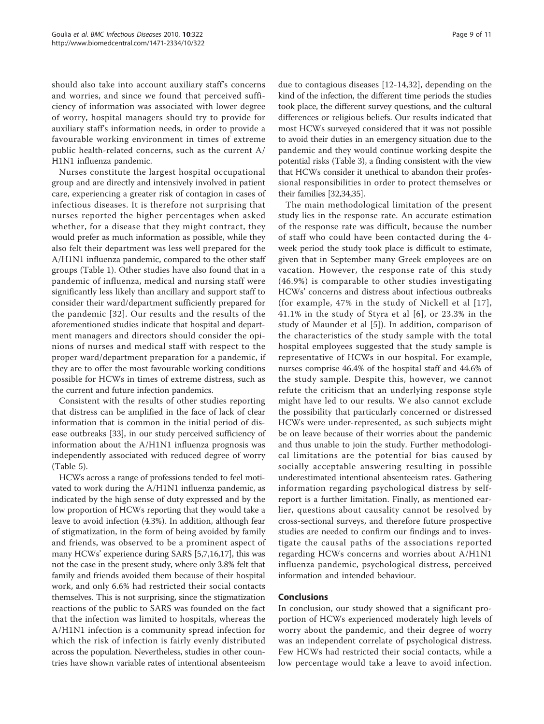should also take into account auxiliary staff's concerns and worries, and since we found that perceived sufficiency of information was associated with lower degree of worry, hospital managers should try to provide for auxiliary staff's information needs, in order to provide a favourable working environment in times of extreme public health-related concerns, such as the current A/ H1N1 influenza pandemic.

Nurses constitute the largest hospital occupational group and are directly and intensively involved in patient care, experiencing a greater risk of contagion in cases of infectious diseases. It is therefore not surprising that nurses reported the higher percentages when asked whether, for a disease that they might contract, they would prefer as much information as possible, while they also felt their department was less well prepared for the A/H1N1 influenza pandemic, compared to the other staff groups (Table [1\)](#page-2-0). Other studies have also found that in a pandemic of influenza, medical and nursing staff were significantly less likely than ancillary and support staff to consider their ward/department sufficiently prepared for the pandemic [[32\]](#page-10-0). Our results and the results of the aforementioned studies indicate that hospital and department managers and directors should consider the opinions of nurses and medical staff with respect to the proper ward/department preparation for a pandemic, if they are to offer the most favourable working conditions possible for HCWs in times of extreme distress, such as the current and future infection pandemics.

Consistent with the results of other studies reporting that distress can be amplified in the face of lack of clear information that is common in the initial period of disease outbreaks [[33\]](#page-10-0), in our study perceived sufficiency of information about the A/H1N1 influenza prognosis was independently associated with reduced degree of worry (Table [5\)](#page-6-0).

HCWs across a range of professions tended to feel motivated to work during the A/H1N1 influenza pandemic, as indicated by the high sense of duty expressed and by the low proportion of HCWs reporting that they would take a leave to avoid infection (4.3%). In addition, although fear of stigmatization, in the form of being avoided by family and friends, was observed to be a prominent aspect of many HCWs' experience during SARS [[5,](#page-9-0)[7,16,17\]](#page-10-0), this was not the case in the present study, where only 3.8% felt that family and friends avoided them because of their hospital work, and only 6.6% had restricted their social contacts themselves. This is not surprising, since the stigmatization reactions of the public to SARS was founded on the fact that the infection was limited to hospitals, whereas the A/H1N1 infection is a community spread infection for which the risk of infection is fairly evenly distributed across the population. Nevertheless, studies in other countries have shown variable rates of intentional absenteeism

due to contagious diseases [12-14,32], depending on the kind of the infection, the different time periods the studies took place, the different survey questions, and the cultural differences or religious beliefs. Our results indicated that most HCWs surveyed considered that it was not possible to avoid their duties in an emergency situation due to the pandemic and they would continue working despite the potential risks (Table [3\)](#page-3-0), a finding consistent with the view that HCWs consider it unethical to abandon their professional responsibilities in order to protect themselves or their families [\[32,34,35\]](#page-10-0).

The main methodological limitation of the present study lies in the response rate. An accurate estimation of the response rate was difficult, because the number of staff who could have been contacted during the 4 week period the study took place is difficult to estimate, given that in September many Greek employees are on vacation. However, the response rate of this study (46.9%) is comparable to other studies investigating HCWs' concerns and distress about infectious outbreaks (for example, 47% in the study of Nickell et al [[17\]](#page-10-0), 41.1% in the study of Styra et al [[6](#page-9-0)], or 23.3% in the study of Maunder et al [[5\]](#page-9-0)). In addition, comparison of the characteristics of the study sample with the total hospital employees suggested that the study sample is representative of HCWs in our hospital. For example, nurses comprise 46.4% of the hospital staff and 44.6% of the study sample. Despite this, however, we cannot refute the criticism that an underlying response style might have led to our results. We also cannot exclude the possibility that particularly concerned or distressed HCWs were under-represented, as such subjects might be on leave because of their worries about the pandemic and thus unable to join the study. Further methodological limitations are the potential for bias caused by socially acceptable answering resulting in possible underestimated intentional absenteeism rates. Gathering information regarding psychological distress by selfreport is a further limitation. Finally, as mentioned earlier, questions about causality cannot be resolved by cross-sectional surveys, and therefore future prospective studies are needed to confirm our findings and to investigate the causal paths of the associations reported regarding HCWs concerns and worries about A/H1N1 influenza pandemic, psychological distress, perceived information and intended behaviour.

#### Conclusions

In conclusion, our study showed that a significant proportion of HCWs experienced moderately high levels of worry about the pandemic, and their degree of worry was an independent correlate of psychological distress. Few HCWs had restricted their social contacts, while a low percentage would take a leave to avoid infection.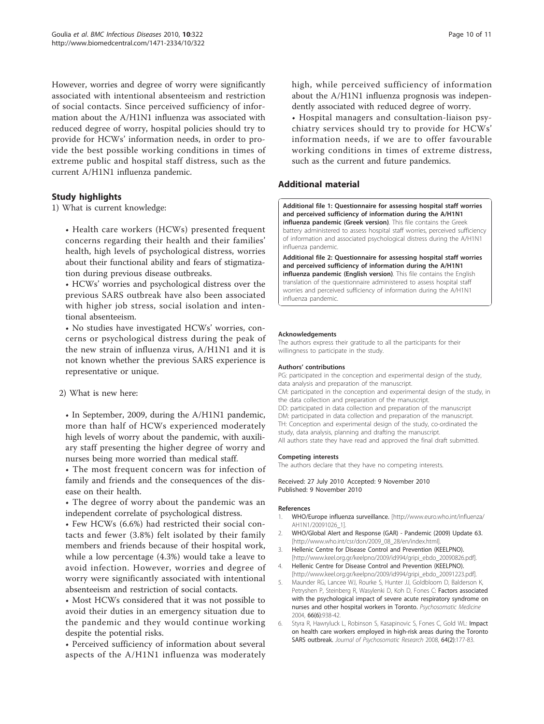<span id="page-9-0"></span>However, worries and degree of worry were significantly associated with intentional absenteeism and restriction of social contacts. Since perceived sufficiency of information about the A/H1N1 influenza was associated with reduced degree of worry, hospital policies should try to provide for HCWs' information needs, in order to provide the best possible working conditions in times of extreme public and hospital staff distress, such as the current A/H1N1 influenza pandemic.

## Study highlights

1) What is current knowledge:

• Health care workers (HCWs) presented frequent concerns regarding their health and their families' health, high levels of psychological distress, worries about their functional ability and fears of stigmatization during previous disease outbreaks.

• HCWs' worries and psychological distress over the previous SARS outbreak have also been associated with higher job stress, social isolation and intentional absenteeism.

• No studies have investigated HCWs' worries, concerns or psychological distress during the peak of the new strain of influenza virus, A/H1N1 and it is not known whether the previous SARS experience is representative or unique.

#### 2) What is new here:

• In September, 2009, during the A/H1N1 pandemic, more than half of HCWs experienced moderately high levels of worry about the pandemic, with auxiliary staff presenting the higher degree of worry and nurses being more worried than medical staff.

• The most frequent concern was for infection of family and friends and the consequences of the disease on their health.

• The degree of worry about the pandemic was an independent correlate of psychological distress.

• Few HCWs (6.6%) had restricted their social contacts and fewer (3.8%) felt isolated by their family members and friends because of their hospital work, while a low percentage (4.3%) would take a leave to avoid infection. However, worries and degree of worry were significantly associated with intentional absenteeism and restriction of social contacts.

• Most HCWs considered that it was not possible to avoid their duties in an emergency situation due to the pandemic and they would continue working despite the potential risks.

• Perceived sufficiency of information about several aspects of the A/H1N1 influenza was moderately high, while perceived sufficiency of information about the A/H1N1 influenza prognosis was independently associated with reduced degree of worry.

• Hospital managers and consultation-liaison psychiatry services should try to provide for HCWs' information needs, if we are to offer favourable working conditions in times of extreme distress, such as the current and future pandemics.

## Additional material

[Additional file 1: Q](http://www.biomedcentral.com/content/supplementary/1471-2334-10-322-S1.DOC)uestionnaire for assessing hospital staff worries and perceived sufficiency of information during the A/H1N1 influenza pandemic (Greek version). This file contains the Greek battery administered to assess hospital staff worries, perceived sufficiency of information and associated psychological distress during the A/H1N1 influenza pandemic.

[Additional file 2: Q](http://www.biomedcentral.com/content/supplementary/1471-2334-10-322-S2.PDF)uestionnaire for assessing hospital staff worries and perceived sufficiency of information during the A/H1N1 influenza pandemic (English version). This file contains the English translation of the questionnaire administered to assess hospital staff worries and perceived sufficiency of information during the A/H1N1 influenza pandemic.

#### Acknowledgements

The authors express their gratitude to all the participants for their willingness to participate in the study.

#### Authors' contributions

PG: participated in the conception and experimental design of the study, data analysis and preparation of the manuscript. CM: participated in the conception and experimental design of the study, in the data collection and preparation of the manuscript. DD: participated in data collection and preparation of the manuscript DM: participated in data collection and preparation of the manuscript. TH: Conception and experimental design of the study, co-ordinated the study, data analysis, planning and drafting the manuscript. All authors state they have read and approved the final draft submitted.

#### Competing interests

The authors declare that they have no competing interests.

Received: 27 July 2010 Accepted: 9 November 2010 Published: 9 November 2010

#### References

- 1. WHO/Europe influenza surveillance. [[http://www.euro.who.int/influenza/](http://www.euro.who.int/influenza/AH1N1/20091026_1) [AH1N1/20091026\\_1](http://www.euro.who.int/influenza/AH1N1/20091026_1)].
- 2. WHO/Global Alert and Response (GAR) Pandemic (2009) Update 63. [[http://www.who.int/csr/don/2009\\_08\\_28/en/index.html\]](http://www.who.int/csr/don/2009_08_28/en/index.html)
- 3. Hellenic Centre for Disease Control and Prevention (KEELPNO). [[http://www.keel.org.gr/keelpno/2009/id994/gripi\\_ebdo\\_20090826.pdf](http://�www.keel.org.gr/keelpno/2009/id994/gripi_ebdo_20090826.pdf)].
- 4. Hellenic Centre for Disease Control and Prevention (KEELPNO). [[http://www.keel.org.gr/keelpno/2009/id994/gripi\\_ebdo\\_20091223.pdf](http://�www.keel.org.gr/keelpno/2009/id994/gripi_ebdo_20091223.pdf)].
- 5. Maunder RG, Lancee WJ, Rourke S, Hunter JJ, Goldbloom D, Balderson K, Petryshen P, Steinberg R, Wasylenki D, Koh D, Fones C: [Factors associated](http://www.ncbi.nlm.nih.gov/pubmed/15564361?dopt=Abstract) [with the psychological impact of severe acute respiratory syndrome on](http://www.ncbi.nlm.nih.gov/pubmed/15564361?dopt=Abstract) [nurses and other hospital workers in Toronto.](http://www.ncbi.nlm.nih.gov/pubmed/15564361?dopt=Abstract) Psychosomatic Medicine 2004, 66(6):938-42.
- 6. Styra R, Hawryluck L, Robinson S, Kasapinovic S, Fones C, Gold WL: [Impact](http://www.ncbi.nlm.nih.gov/pubmed/18222131?dopt=Abstract) [on health care workers employed in high-risk areas during the Toronto](http://www.ncbi.nlm.nih.gov/pubmed/18222131?dopt=Abstract) [SARS outbreak.](http://www.ncbi.nlm.nih.gov/pubmed/18222131?dopt=Abstract) Journal of Psychosomatic Research 2008, 64(2):177-83.